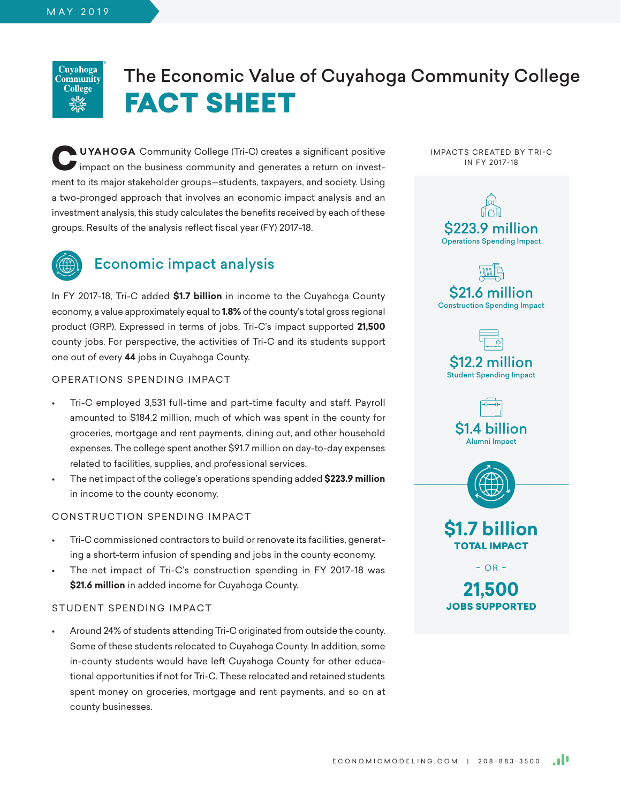Cuvahoga Community **College <u><u>uic</u>**<br>フォーマ</u>

# The Economic Value of Cuyahoga Community College FACT SHEET

**CUYAHOGA** Community College (Tri-C) creates a significant positive impact on the business community and generates a return on investment to its major stakeholder groups—students, taxpayers, and society. Using a two-pronged approach that involves an economic impact analysis and an investment analysis, this study calculates the benefits received by each of these groups. Results of the analysis reflect fiscal year (FY) 2017-18.



### Economic impact analysis

In FY 2017-18, Tri-C added **\$1.7 billion** in income to the Cuyahoga County economy, a value approximately equal to **1.8%** of the county's total gross regional product (GRP). Expressed in terms of jobs, Tri-C's impact supported **21,500** county jobs. For perspective, the activities of Tri-C and its students support one out of every **44** jobs in Cuyahoga County.

### OPERATIONS SPENDING IMPACT

- Tri-C employed 3,531 full-time and part-time faculty and staff. Payroll amounted to \$184.2 million, much of which was spent in the county for groceries, mortgage and rent payments, dining out, and other household expenses. The college spent another \$91.7 million on day-to-day expenses related to facilities, supplies, and professional services.
- The net impact of the college's operations spending added **\$223.9 million** in income to the county economy.

### CONSTRUCTION SPENDING IMPACT

- Tri-C commissioned contractors to build or renovate its facilities, generating a short-term infusion of spending and jobs in the county economy.
- The net impact of Tri-C's construction spending in FY 2017-18 was **\$21.6 million** in added income for Cuyahoga County.

### STUDENT SPENDING IMPACT

• Around 24% of students attending Tri-C originated from outside the county. Some of these students relocated to Cuyahoga County. In addition, some in-county students would have left Cuyahoga County for other educational opportunities if not for Tri-C. These relocated and retained students spent money on groceries, mortgage and rent payments, and so on at county businesses.

IMPACTS CREATED BY TRI-C IN FY 2017-18







Student Spending Impact







 $- OR -$